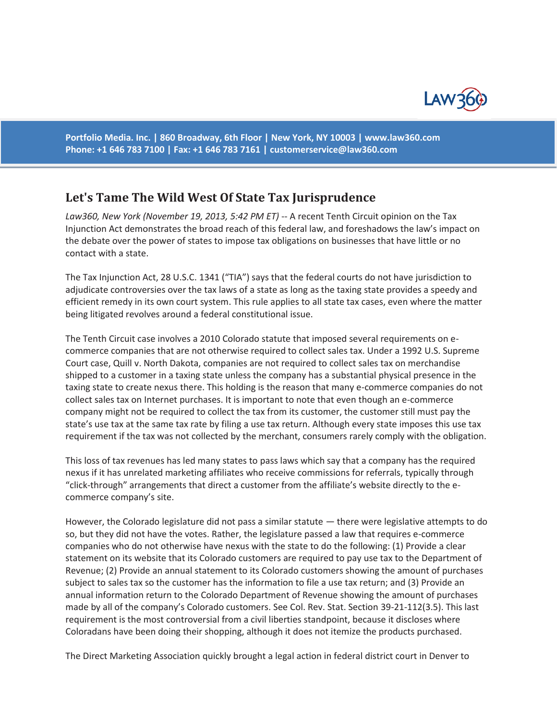

**Portfolio Media. Inc. | 860 Broadway, 6th Floor | New York, NY 10003 | www.law360.com Phone: +1 646 783 7100 | Fax: +1 646 783 7161 | customerservice@law360.com**

## **Let's Tame The Wild West Of State Tax Jurisprudence**

Law360, New York (November 19, 2013, 5:42 PM ET) -- A recent Tenth Circuit opinion on the Tax Injunction Act demonstrates the broad reach of this federal law, and foreshadows the law's impact on the debate over the power of states to impose tax obligations on businesses that have little or no contact with a state.

The Tax Injunction Act, 28 U.S.C. 1341 ("TIA") says that the federal courts do not have jurisdiction to adjudicate controversies over the tax laws of a state as long as the taxing state provides a speedy and efficient remedy in its own court system. This rule applies to all state tax cases, even where the matter being litigated revolves around a federal constitutional issue.

The Tenth Circuit case involves a 2010 Colorado statute that imposed several requirements on ecommerce companies that are not otherwise required to collect sales tax. Under a 1992 U.S. Supreme Court case, Quill v. North Dakota, companies are not required to collect sales tax on merchandise shipped to a customer in a taxing state unless the company has a substantial physical presence in the taxing state to create nexus there. This holding is the reason that many e-commerce companies do not collect sales tax on Internet purchases. It is important to note that even though an e-commerce company might not be required to collect the tax from its customer, the customer still must pay the state's use tax at the same tax rate by filing a use tax return. Although every state imposes this use tax requirement if the tax was not collected by the merchant, consumers rarely comply with the obligation.

This loss of tax revenues has led many states to pass laws which say that a company has the required nexus if it has unrelated marketing affiliates who receive commissions for referrals, typically through "click-through" arrangements that direct a customer from the affiliate's website directly to the ecommerce company's site.

However, the Colorado legislature did not pass a similar statute — there were legislative attempts to do so, but they did not have the votes. Rather, the legislature passed a law that requires e-commerce companies who do not otherwise have nexus with the state to do the following: (1) Provide a clear statement on its website that its Colorado customers are required to pay use tax to the Department of Revenue; (2) Provide an annual statement to its Colorado customers showing the amount of purchases subject to sales tax so the customer has the information to file a use tax return; and (3) Provide an annual information return to the Colorado Department of Revenue showing the amount of purchases made by all of the company's Colorado customers. See Col. Rev. Stat. Section 39-21-112(3.5). This last requirement is the most controversial from a civil liberties standpoint, because it discloses where Coloradans have been doing their shopping, although it does not itemize the products purchased.

The Direct Marketing Association quickly brought a legal action in federal district court in Denver to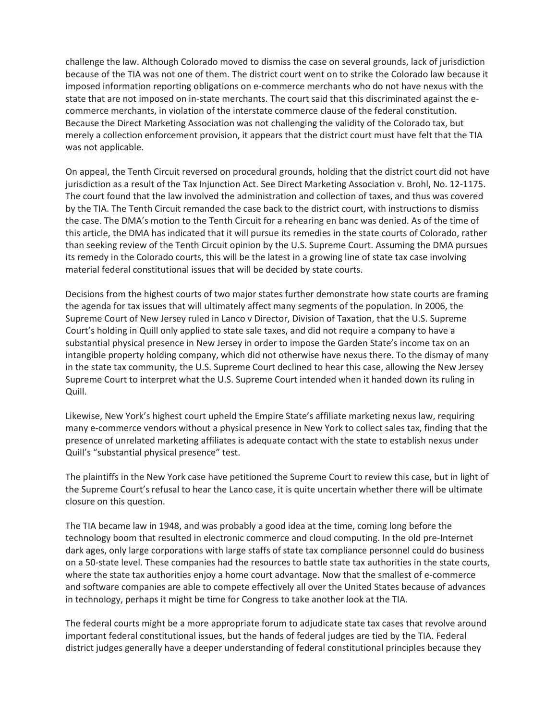challenge the law. Although Colorado moved to dismiss the case on several grounds, lack of jurisdiction because of the TIA was not one of them. The district court went on to strike the Colorado law because it imposed information reporting obligations on e-commerce merchants who do not have nexus with the state that are not imposed on in-state merchants. The court said that this discriminated against the ecommerce merchants, in violation of the interstate commerce clause of the federal constitution. Because the Direct Marketing Association was not challenging the validity of the Colorado tax, but merely a collection enforcement provision, it appears that the district court must have felt that the TIA was not applicable.

On appeal, the Tenth Circuit reversed on procedural grounds, holding that the district court did not have jurisdiction as a result of the Tax Injunction Act. See Direct Marketing Association v. Brohl, No. 12-1175. The court found that the law involved the administration and collection of taxes, and thus was covered by the TIA. The Tenth Circuit remanded the case back to the district court, with instructions to dismiss the case. The DMA's motion to the Tenth Circuit for a rehearing en banc was denied. As of the time of this article, the DMA has indicated that it will pursue its remedies in the state courts of Colorado, rather than seeking review of the Tenth Circuit opinion by the U.S. Supreme Court. Assuming the DMA pursues its remedy in the Colorado courts, this will be the latest in a growing line of state tax case involving material federal constitutional issues that will be decided by state courts.

Decisions from the highest courts of two major states further demonstrate how state courts are framing the agenda for tax issues that will ultimately affect many segments of the population. In 2006, the Supreme Court of New Jersey ruled in Lanco v Director, Division of Taxation, that the U.S. Supreme Court's holding in Quill only applied to state sale taxes, and did not require a company to have a substantial physical presence in New Jersey in order to impose the Garden State's income tax on an intangible property holding company, which did not otherwise have nexus there. To the dismay of many in the state tax community, the U.S. Supreme Court declined to hear this case, allowing the New Jersey Supreme Court to interpret what the U.S. Supreme Court intended when it handed down its ruling in Quill.

Likewise, New York's highest court upheld the Empire State's affiliate marketing nexus law, requiring many e-commerce vendors without a physical presence in New York to collect sales tax, finding that the presence of unrelated marketing affiliates is adequate contact with the state to establish nexus under Quill's "substantial physical presence" test.

The plaintiffs in the New York case have petitioned the Supreme Court to review this case, but in light of the Supreme Court's refusal to hear the Lanco case, it is quite uncertain whether there will be ultimate closure on this question.

The TIA became law in 1948, and was probably a good idea at the time, coming long before the technology boom that resulted in electronic commerce and cloud computing. In the old pre-Internet dark ages, only large corporations with large staffs of state tax compliance personnel could do business on a 50-state level. These companies had the resources to battle state tax authorities in the state courts, where the state tax authorities enjoy a home court advantage. Now that the smallest of e-commerce and software companies are able to compete effectively all over the United States because of advances in technology, perhaps it might be time for Congress to take another look at the TIA.

The federal courts might be a more appropriate forum to adjudicate state tax cases that revolve around important federal constitutional issues, but the hands of federal judges are tied by the TIA. Federal district judges generally have a deeper understanding of federal constitutional principles because they